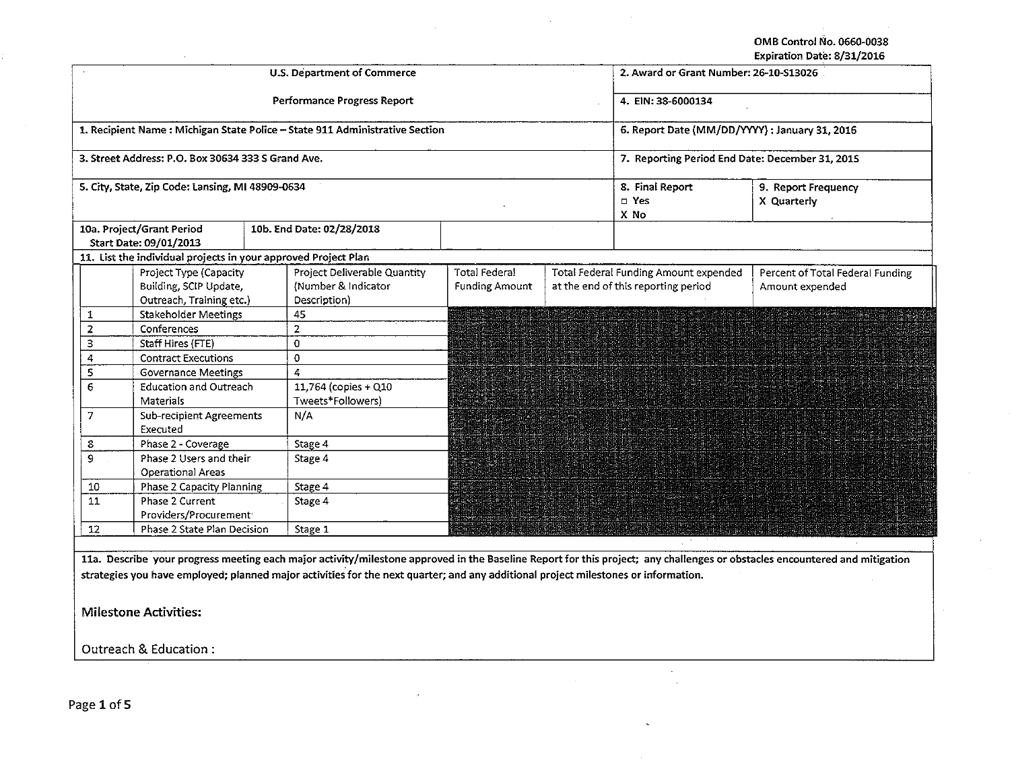OMB Control No. 0660·0038 Expiration Date: 8/31/2016

|                              |                                                                              |  | <b>U.S. Department of Commerce</b>                                                                                                 | LADIT GLIOTT DATE. UZ JIZZ LOITU<br>2. Award or Grant Number: 26-10-S13026 |  |                                                                              |                                                                                                                                                                            |  |
|------------------------------|------------------------------------------------------------------------------|--|------------------------------------------------------------------------------------------------------------------------------------|----------------------------------------------------------------------------|--|------------------------------------------------------------------------------|----------------------------------------------------------------------------------------------------------------------------------------------------------------------------|--|
|                              |                                                                              |  | Performance Progress Report                                                                                                        | 4. EIN: 38-6000134                                                         |  |                                                                              |                                                                                                                                                                            |  |
|                              |                                                                              |  | 1. Recipient Name: Michigan State Police - State 911 Administrative Section                                                        | 6. Report Date (MM/DD/YYYY) : January 31, 2016                             |  |                                                                              |                                                                                                                                                                            |  |
|                              | 3. Street Address: P.O. Box 30634 333 S Grand Ave.                           |  |                                                                                                                                    | 7. Reporting Period End Date: December 31, 2015                            |  |                                                                              |                                                                                                                                                                            |  |
|                              | 5. City, State, Zip Code: Lansing, MI 48909-0634                             |  |                                                                                                                                    |                                                                            |  | 8. Final Report<br>□ Yes<br>X No                                             | 9. Report Frequency<br>X Quarterly                                                                                                                                         |  |
|                              | 10a. Project/Grant Period<br>Start Date: 09/01/2013                          |  | 10b. End Date: 02/28/2018                                                                                                          |                                                                            |  |                                                                              |                                                                                                                                                                            |  |
|                              | 11. List the individual projects in your approved Project Plan               |  |                                                                                                                                    |                                                                            |  |                                                                              |                                                                                                                                                                            |  |
|                              | Project Type (Capacity<br>Building, SCIP Update,<br>Outreach, Training etc.) |  | Project Deliverable Quantity<br>(Number & Indicator<br>Description)                                                                | Total Federal<br><b>Funding Amount</b>                                     |  | Total Federal Funding Amount expended<br>at the end of this reporting period | Percent of Total Federal Funding<br>Amount expended                                                                                                                        |  |
| $\mathbf{1}$                 | <b>Stakeholder Meetings</b>                                                  |  | 45                                                                                                                                 |                                                                            |  |                                                                              |                                                                                                                                                                            |  |
| $\overline{2}$               | Conferences                                                                  |  | $\overline{2}$                                                                                                                     |                                                                            |  |                                                                              |                                                                                                                                                                            |  |
| 3                            | Staff Hires (FTE)                                                            |  | 0                                                                                                                                  |                                                                            |  |                                                                              |                                                                                                                                                                            |  |
| 4                            | <b>Contract Executions</b>                                                   |  | 0                                                                                                                                  |                                                                            |  |                                                                              |                                                                                                                                                                            |  |
| 5                            | <b>Governance Meetings</b>                                                   |  | 4                                                                                                                                  |                                                                            |  |                                                                              |                                                                                                                                                                            |  |
| 6                            | <b>Education and Outreach</b>                                                |  | 11,764 (copies + Q10                                                                                                               |                                                                            |  |                                                                              |                                                                                                                                                                            |  |
|                              | Materials                                                                    |  | Tweets*Followers)                                                                                                                  |                                                                            |  |                                                                              |                                                                                                                                                                            |  |
| $\overline{7}$               | <b>Sub-recipient Agreements</b>                                              |  | N/A                                                                                                                                |                                                                            |  |                                                                              |                                                                                                                                                                            |  |
|                              | Executed                                                                     |  |                                                                                                                                    |                                                                            |  |                                                                              | a da sentido de alta de la constitución de la constitución de la constitución de la constitución de la constit                                                             |  |
| 8                            | Phase 2 - Coverage                                                           |  | Stage 4                                                                                                                            |                                                                            |  |                                                                              |                                                                                                                                                                            |  |
| 9                            | Phase 2 Users and their                                                      |  | Stage 4                                                                                                                            |                                                                            |  |                                                                              |                                                                                                                                                                            |  |
|                              | <b>Operational Areas</b>                                                     |  |                                                                                                                                    |                                                                            |  |                                                                              |                                                                                                                                                                            |  |
| 10                           | Phase 2 Capacity Planning                                                    |  | Stage 4                                                                                                                            |                                                                            |  |                                                                              |                                                                                                                                                                            |  |
| 11                           | Phase 2 Current                                                              |  | Stage 4                                                                                                                            |                                                                            |  |                                                                              |                                                                                                                                                                            |  |
|                              | Providers/Procurement <sup>-</sup>                                           |  |                                                                                                                                    |                                                                            |  |                                                                              |                                                                                                                                                                            |  |
| 12                           | Phase 2 State Plan Decision                                                  |  | Stage 1                                                                                                                            |                                                                            |  |                                                                              |                                                                                                                                                                            |  |
|                              |                                                                              |  |                                                                                                                                    |                                                                            |  |                                                                              | 11a. Describe your progress meeting each major activity/milestone approved in the Baseline Report for this project; any challenges or obstacles encountered and mitigation |  |
|                              |                                                                              |  | strategies you have employed; planned major activities for the next quarter; and any additional project milestones or information. |                                                                            |  |                                                                              |                                                                                                                                                                            |  |
| <b>Milestone Activities:</b> |                                                                              |  |                                                                                                                                    |                                                                            |  |                                                                              |                                                                                                                                                                            |  |
|                              | Outreach & Education:                                                        |  |                                                                                                                                    |                                                                            |  |                                                                              |                                                                                                                                                                            |  |
|                              |                                                                              |  |                                                                                                                                    |                                                                            |  |                                                                              |                                                                                                                                                                            |  |

 $\ddot{\phantom{0}}$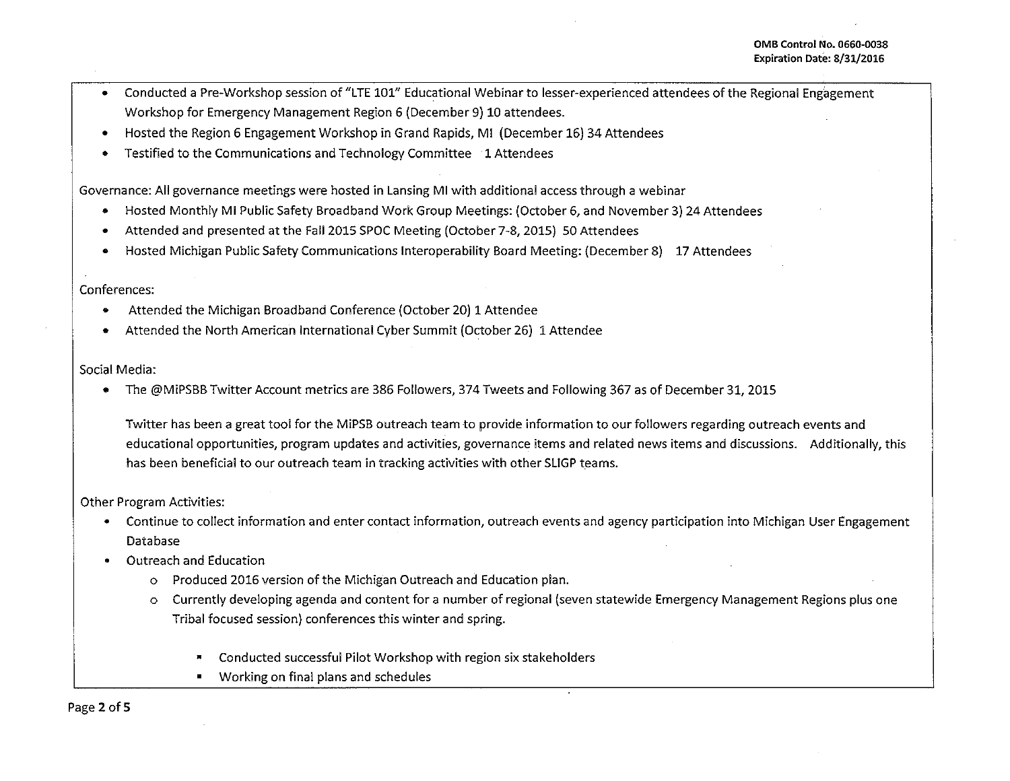- Conducted a Pre-Workshop session of "LTE 101" Educational Webinar to lesser-experienced attendees of the Regional Engagement Workshop for Emergency Management Region 6 (December 9) 10 attendees.
- Hosted the Region 6 Engagement Workshop in Grand Rapids, Ml (December 16) 34 Attendees
- Testified to the Communications and Technology Committee 1 Attendees

Governance: All governance meetings were hosted in Lansing Ml with additional access through a webinar

- Hosted Monthly Ml Public Safety Broadband Work Group Meetings: (October 6, and November 3) 24 Attendees
- Attended and presented at the Fall 2015 SPOC Meeting (October 7-8, 2015) 50 Attendees
- Hosted Michigan Public Safety Communications lnteroperability Board Meeting: (December 8) 17 Attendees

## Conferences:

- Attended the Michigan Broadband Conference (October 20) 1 Attendee
- Attended the North American International Cyber Summit (October 26) 1 Attendee

## Social Media:

• The @MiPSBB Twitter Account metrics are 386 Followers, 374 Tweets and Following 367 as of December 31, 2015

Twitter has been a great tool for the MiPSB outreach team to provide information to our followers regarding outreach events and educational opportunities, program updates and activities, governance items and related news items and discussions. Additionally, this has been beneficial to our outreach team in tracking activities with other SLIGP teams.

## Other Program Activities:

- Continue to collect information and enter contact information, outreach events and agency participation into Michigan User Engagement Database
- Outreach and Education
	- o Produced 2016 version of the Michigan Outreach and Education plan.
	- o Currently developing agenda and content for a number of regional (seven statewide Emergency Management Regions plus one Tribal focused session) conferences this winter and spring.
		- Conducted successful Pilot Workshop with region six stakeholders
		- Working on final plans and schedules

Page 2 of 5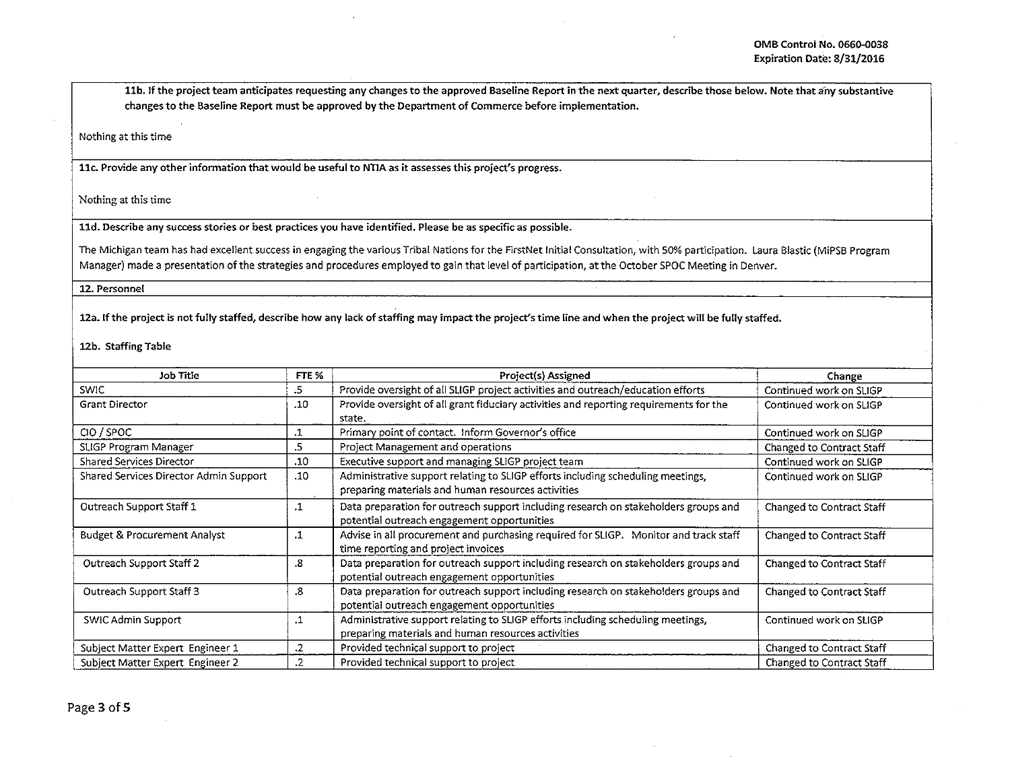llb. If the project team anticipates requesting any changes to the approved Baseline Report in the next quarter, describe those below. Note that any substantive changes to the Baseline Report must be approved by the Department of Commerce before implementation.

Nothing at this time

llc. Provide any other information that would be useful to NTIA as it assesses this project's progress.

Nothing at this time

lld. Describe any success stories or best practices you have identified. Please be as specific as possible.

The Michigan team has had excellent success in engaging the various Tribal Nations for the FirstNet Initial Consultation, with SO% participation. Laura Blastic (MiPSB Program Manager) made a presentation of the strategies and procedures employed to gain that level of participation, at the October SPOC Meeting in Denver.

12. Personnel

12a. If the project is not fully staffed, describe how any lack of staffing may impact the project's time line and when the project will be fully staffed.

12b. Staffing Table

| Job Title                              | FTE %      | Project(s) Assigned                                                                                                                   | Change                    |
|----------------------------------------|------------|---------------------------------------------------------------------------------------------------------------------------------------|---------------------------|
| <b>SWIC</b>                            | .5         | Provide oversight of all SLIGP project activities and outreach/education efforts                                                      | Continued work on SLIGP   |
| <b>Grant Director</b>                  | .10        | Provide oversight of all grant fiduciary activities and reporting requirements for the<br>state.                                      | Continued work on SLIGP   |
| CIO / SPOC                             | .1         | Primary point of contact. Inform Governor's office                                                                                    | Continued work on SLIGP   |
| SLIGP Program Manager                  | .5         | Project Management and operations                                                                                                     | Changed to Contract Staff |
| Shared Services Director               | .10        | Executive support and managing SLIGP project team                                                                                     | Continued work on SLIGP   |
| Shared Services Director Admin Support | .10        | Administrative support relating to SLIGP efforts including scheduling meetings,<br>preparing materials and human resources activities | Continued work on SLIGP   |
| Outreach Support Staff 1               | $\cdot$ 1  | Data preparation for outreach support including research on stakeholders groups and<br>potential outreach engagement opportunities    | Changed to Contract Staff |
| Budget & Procurement Analyst           | .1         | Advise in all procurement and purchasing required for SLIGP. Monitor and track staff<br>time reporting and project invoices           | Changed to Contract Staff |
| Outreach Support Staff 2               | .8         | Data preparation for outreach support including research on stakeholders groups and<br>potential outreach engagement opportunities    | Changed to Contract Staff |
| Outreach Support Staff 3               | .8         | Data preparation for outreach support including research on stakeholders groups and<br>potential outreach engagement opportunities    | Changed to Contract Staff |
| SWIC Admin Support                     | .1         | Administrative support relating to SLIGP efforts including scheduling meetings,<br>preparing materials and human resources activities | Continued work on SLIGP   |
| Subject Matter Expert Engineer 1       | .2         | Provided technical support to project                                                                                                 | Changed to Contract Staff |
| Subject Matter Expert Engineer 2       | $\cdot$ .2 | Provided technical support to project                                                                                                 | Changed to Contract Staff |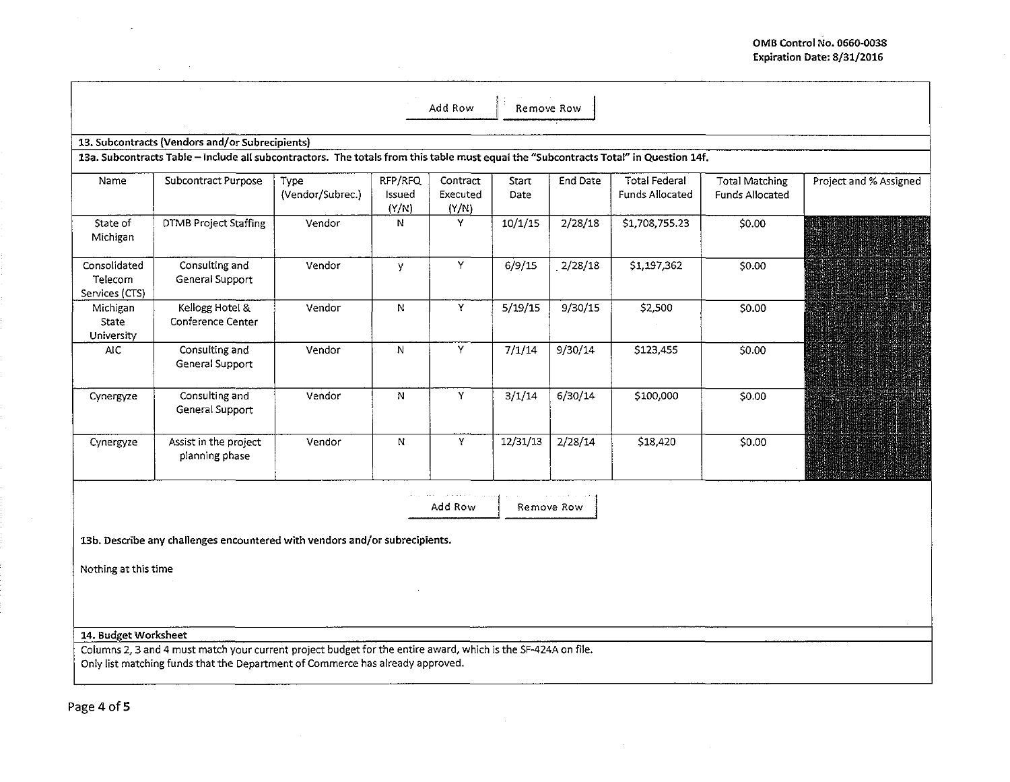|                                           |                                                                                                                                                                                                 |                          |                            | Add Row                       | Remove Row    |            |                                                |                                                 |                        |
|-------------------------------------------|-------------------------------------------------------------------------------------------------------------------------------------------------------------------------------------------------|--------------------------|----------------------------|-------------------------------|---------------|------------|------------------------------------------------|-------------------------------------------------|------------------------|
|                                           | 13. Subcontracts (Vendors and/or Subrecipients)                                                                                                                                                 |                          |                            |                               |               |            |                                                |                                                 |                        |
|                                           | 13a. Subcontracts Table - include all subcontractors. The totals from this table must equal the "Subcontracts Total" in Question 14f.                                                           |                          |                            |                               |               |            |                                                |                                                 |                        |
| Name                                      | Subcontract Purpose                                                                                                                                                                             | Type<br>(Vendor/Subrec.) | RFP/RFQ<br>Issued<br>(Y/N) | Contract<br>Executed<br>(Y/N) | Start<br>Date | End Date   | <b>Total Federal</b><br><b>Funds Allocated</b> | <b>Total Matching</b><br><b>Funds Allocated</b> | Project and % Assigned |
| State of<br>Michigan                      | <b>DTMB Project Staffing</b>                                                                                                                                                                    | Vendor                   | N                          | Y                             | 10/1/15       | 2/28/18    | \$1,708,755.23                                 | \$0.00                                          |                        |
| Consolidated<br>Telecom<br>Services (CTS) | Consulting and<br>General Support                                                                                                                                                               | Vendor                   | y                          | Y                             | 6/9/15        | 2/28/18    | \$1,197,362                                    | \$0.00                                          | UKI                    |
| Michigan<br>State<br>University           | Kellogg Hotel &<br>Conference Center                                                                                                                                                            | Vendor                   | N                          | Y.                            | 5/19/15       | 9/30/15    | \$2,500                                        | \$0.00                                          |                        |
| <b>AIC</b>                                | Consulting and<br>General Support                                                                                                                                                               | Vendor                   | ${\bf N}$                  | Y                             | 7/1/14        | 9/30/14    | \$123,455                                      | \$0.00                                          |                        |
| Cynergyze                                 | Consulting and<br>General Support                                                                                                                                                               | Vendor                   | N                          | Y                             | 3/1/14        | 6/30/14    | \$100,000                                      | \$0.00                                          |                        |
| Cynergyze                                 | Assist in the project<br>planning phase                                                                                                                                                         | Vendor                   | ${\bf N}$                  | Y                             | 12/31/13      | 2/28/14    | \$18,420                                       | \$0.00                                          |                        |
|                                           |                                                                                                                                                                                                 |                          |                            | Add Row                       |               | Remove Row |                                                |                                                 |                        |
|                                           |                                                                                                                                                                                                 |                          |                            |                               |               |            |                                                |                                                 |                        |
|                                           | 13b. Describe any challenges encountered with vendors and/or subrecipients.                                                                                                                     |                          |                            |                               |               |            |                                                |                                                 |                        |
| Nothing at this time                      |                                                                                                                                                                                                 |                          |                            |                               |               |            |                                                |                                                 |                        |
|                                           |                                                                                                                                                                                                 |                          |                            |                               |               |            |                                                |                                                 |                        |
|                                           |                                                                                                                                                                                                 |                          |                            |                               |               |            |                                                |                                                 |                        |
| 14. Budget Worksheet                      | Columns 2, 3 and 4 must match your current project budget for the entire award, which is the SF-424A on file.<br>Only list matching funds that the Department of Commerce has already approved. |                          |                            |                               |               |            |                                                |                                                 |                        |

 $\sim 10^{11}$  m  $^{-1}$ 

 $\sim 10^6$ 

Page 4 of 5

 $\sim 10^7$ 

 $\sim 10^{-1}$ 

 $\sim 10^7$ 

 $\mathcal{L}_{\mathrm{eff}}$  and  $\mathcal{L}_{\mathrm{eff}}$